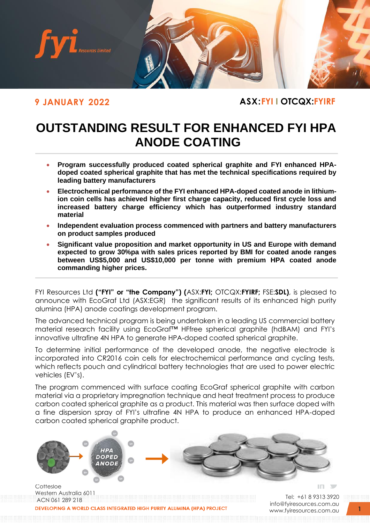

**9 JANUARY 2022 ASX:FYI I OTCQX:FYIRF**

# **OUTSTANDING RESULT FOR ENHANCED FYI HPA ANODE COATING**

- **Program successfully produced coated spherical graphite and FYI enhanced HPAdoped coated spherical graphite that has met the technical specifications required by leading battery manufacturers**
- **Electrochemical performance of the FYI enhanced HPA-doped coated anode in lithiumion coin cells has achieved higher first charge capacity, reduced first cycle loss and increased battery charge efficiency which has outperformed industry standard material**
- **Independent evaluation process commenced with partners and battery manufacturers on product samples produced**
- **Significant value proposition and market opportunity in US and Europe with demand expected to grow 30%pa with sales prices reported by BMI for coated anode ranges between US\$5,000 and US\$10,000 per tonne with premium HPA coated anode commanding higher prices.**

FYI Resources Ltd **("FYI" or "the Company") (**ASX:**FYI;** OTCQX:**FYIRF;** FSE:**SDL)**, is pleased to announce with EcoGraf Ltd (ASX:EGR) the significant results of its enhanced high purity alumina (HPA) anode coatings development program.

The advanced technical program is being undertaken in a leading US commercial battery material research facility using EcoGraf™ HFfree spherical graphite (hdBAM) and FYI's innovative ultrafine 4N HPA to generate HPA-doped coated spherical graphite.

To determine initial performance of the developed anode, the negative electrode is incorporated into CR2016 coin cells for electrochemical performance and cycling tests, which reflects pouch and cylindrical battery technologies that are used to power electric vehicles (EV's).

The program commenced with surface coating EcoGraf spherical graphite with carbon material via a proprietary impregnation technique and heat treatment process to produce carbon coated spherical graphite as a product. This material was then surface doped with a fine dispersion spray of FYI's ultrafine 4N HPA to produce an enhanced HPA-doped carbon coated spherical graphite product.



**DEVELOPING A WORLD CL** 

Tel: +61 8 9313 3920 [info@fyiresources.com.au](mailto:info@fyiresources.com.au) [www.fyiresources.com.au](mailto:https://www.fyiresources.com.au/)

**1**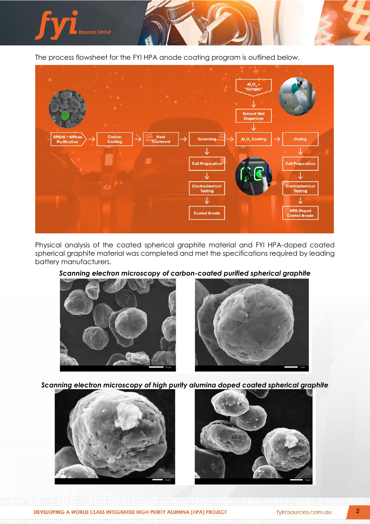

The process flowsheet for the FYI HPA anode coating program is outlined below.



Physical analysis of the coated spherical graphite material and FYI HPA-doped coated spherical graphite material was completed and met the specifications required by leading battery manufacturers.

# *Scanning electron microscopy of carbon-coated purified spherical graphite*





*Scanning electron microscopy of high purity alumina doped coated spherical graphite*



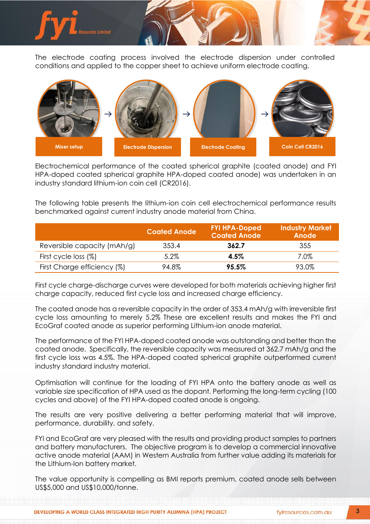

The electrode coating process involved the electrode dispersion under controlled conditions and applied to the copper sheet to achieve uniform electrode coating.



Electrochemical performance of the coated spherical graphite (coated anode) and FYI HPA-doped coated spherical graphite HPA-doped coated anode) was undertaken in an industry standard lithium-ion coin cell (CR2016).

The following table presents the lithium-ion coin cell electrochemical performance results benchmarked against current industry anode material from China.

|                             | <b>Coated Anode</b> | <b>FYI HPA-Doped</b><br><b>Coated Anode</b> | <b>Industry Market</b><br>Anode |
|-----------------------------|---------------------|---------------------------------------------|---------------------------------|
| Reversible capacity (mAh/g) | 353.4               | 362.7                                       | 355                             |
| First cycle loss (%)        | 5.2%                | $4.5\%$                                     | 7.0%                            |
| First Charge efficiency (%) | 94.8%               | 95.5%                                       | 93.0%                           |

First cycle charge-discharge curves were developed for both materials achieving higher first charge capacity, reduced first cycle loss and increased charge efficiency.

The coated anode has a reversible capacity in the order of 353.4 mAh/g with irreversible first cycle loss amounting to merely 5.2% These are excellent results and makes the FYI and EcoGraf coated anode as superior performing Lithium-ion anode material.

The performance of the FYI HPA-doped coated anode was outstanding and better than the coated anode. Specifically, the reversible capacity was measured at 362.7 mAh/g and the first cycle loss was 4.5%. The HPA-doped coated spherical graphite outperformed current industry standard industry material.

Optimisation will continue for the loading of FYI HPA onto the battery anode as well as variable size specification of HPA used as the dopant. Performing the long-term cycling (100 cycles and above) of the FYI HPA-doped coated anode is ongoing.

The results are very positive delivering a better performing material that will improve, performance, durability, and safety.

FYI and EcoGraf are very pleased with the results and providing product samples to partners and battery manufacturers. The objective program is to develop a commercial innovative active anode material (AAM) in Western Australia from further value adding its materials for the Lithium-Ion battery market.

The value opportunity is compelling as BMI reports premium, coated anode sells between US\$5,000 and US\$10,000/tonne.